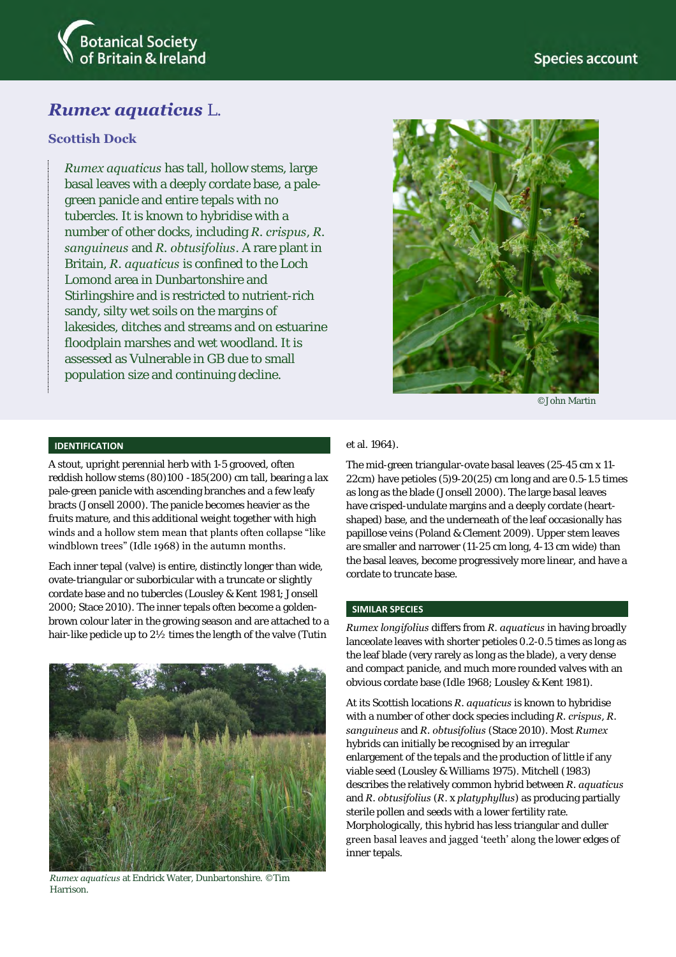

# *Rumex aquaticus* L.

## **Scottish Dock**

*Rumex aquaticus* has tall, hollow stems, large basal leaves with a deeply cordate base, a palegreen panicle and entire tepals with no tubercles. It is known to hybridise with a number of other docks, including *R. crispus*, *R. sanguineus* and *R. obtusifolius*. A rare plant in Britain, *R. aquaticus* is confined to the Loch Lomond area in Dunbartonshire and Stirlingshire and is restricted to nutrient-rich sandy, silty wet soils on the margins of lakesides, ditches and streams and on estuarine floodplain marshes and wet woodland. It is assessed as Vulnerable in GB due to small population size and continuing decline.



©John Martin

### **IDENTIFICATION**

A stout, upright perennial herb with 1-5 grooved, often reddish hollow stems (80)100 -185(200) cm tall, bearing a lax pale-green panicle with ascending branches and a few leafy bracts (Jonsell 2000). The panicle becomes heavier as the fruits mature, and this additional weight together with high winds and a hollow stem mean that plants often collapse "like windblown trees" (Idle 1968) in the autumn months.

Each inner tepal (valve) is entire, distinctly longer than wide, ovate-triangular or suborbicular with a truncate or slightly cordate base and no tubercles (Lousley & Kent 1981; Jonsell 2000; Stace 2010). The inner tepals often become a goldenbrown colour later in the growing season and are attached to a hair-like pedicle up to 2½ times the length of the valve (Tutin



*Rumex aquaticus* at Endrick Water, Dunbartonshire. ©Tim Harrison.

#### et al. 1964).

The mid-green triangular-ovate basal leaves (25-45 cm x 11- 22cm) have petioles (5)9-20(25) cm long and are 0.5-1.5 times as long as the blade (Jonsell 2000). The large basal leaves have crisped-undulate margins and a deeply cordate (heartshaped) base, and the underneath of the leaf occasionally has papillose veins (Poland & Clement 2009). Upper stem leaves are smaller and narrower (11-25 cm long, 4-13 cm wide) than the basal leaves, become progressively more linear, and have a cordate to truncate base.

#### **SIMILAR SPECIES**

*Rumex longifolius* differs from *R. aquaticus* in having broadly lanceolate leaves with shorter petioles 0.2-0.5 times as long as the leaf blade (very rarely as long as the blade), a very dense and compact panicle, and much more rounded valves with an obvious cordate base (Idle 1968; Lousley & Kent 1981).

At its Scottish locations *R. aquaticus* is known to hybridise with a number of other dock species including *R. crispus*, *R. sanguineus* and *R. obtusifolius* (Stace 2010). Most *Rumex* hybrids can initially be recognised by an irregular enlargement of the tepals and the production of little if any viable seed (Lousley & Williams 1975). Mitchell (1983) describes the relatively common hybrid between *R. aquaticus* and *R. obtusifolius* (*R*. x *platyphyllus*) as producing partially sterile pollen and seeds with a lower fertility rate. Morphologically, this hybrid has less triangular and duller green basal leaves and jagged 'teeth' along the lower edges of inner tepals.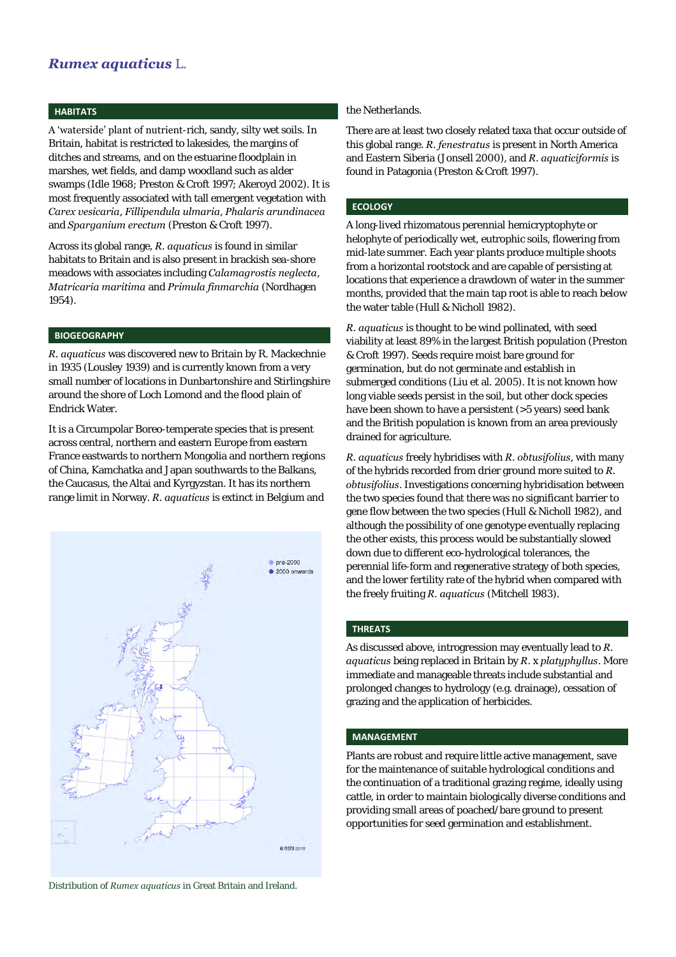# *Rumex aquaticus* L.

#### **HABITATS**

A 'waterside' plant of nutrient-rich, sandy, silty wet soils. In Britain, habitat is restricted to lakesides, the margins of ditches and streams, and on the estuarine floodplain in marshes, wet fields, and damp woodland such as alder swamps (Idle 1968; Preston & Croft 1997; Akeroyd 2002). It is most frequently associated with tall emergent vegetation with *Carex vesicaria*, *Fillipendula ulmaria*, *Phalaris arundinacea* and *Sparganium erectum* (Preston & Croft 1997).

Across its global range*, R. aquaticus* is found in similar habitats to Britain and is also present in brackish sea-shore meadows with associates including *Calamagrostis neglecta*, *Matricaria maritima* and *Primula finmarchia* (Nordhagen 1954).

#### **BIOGEOGRAPHY**

*R. aquaticus* was discovered new to Britain by R. Mackechnie in 1935 (Lousley 1939) and is currently known from a very small number of locations in Dunbartonshire and Stirlingshire around the shore of Loch Lomond and the flood plain of Endrick Water.

It is a Circumpolar Boreo-temperate species that is present across central, northern and eastern Europe from eastern France eastwards to northern Mongolia and northern regions of China, Kamchatka and Japan southwards to the Balkans, the Caucasus, the Altai and Kyrgyzstan. It has its northern range limit in Norway. *R. aquaticus* is extinct in Belgium and



Distribution of *Rumex aquaticus* in Great Britain and Ireland.

#### the Netherlands.

There are at least two closely related taxa that occur outside of this global range. *R. fenestratus* is present in North America and Eastern Siberia (Jonsell 2000), and *R. aquaticiformis* is found in Patagonia (Preston & Croft 1997).

#### **ECOLOGY**

A long-lived rhizomatous perennial hemicryptophyte or helophyte of periodically wet, eutrophic soils, flowering from mid-late summer. Each year plants produce multiple shoots from a horizontal rootstock and are capable of persisting at locations that experience a drawdown of water in the summer months, provided that the main tap root is able to reach below the water table (Hull & Nicholl 1982).

*R. aquaticus* is thought to be wind pollinated, with seed viability at least 89% in the largest British population (Preston & Croft 1997). Seeds require moist bare ground for germination, but do not germinate and establish in submerged conditions (Liu et al. 2005). It is not known how long viable seeds persist in the soil, but other dock species have been shown to have a persistent (>5 years) seed bank and the British population is known from an area previously drained for agriculture.

*R. aquaticus* freely hybridises with *R. obtusifolius*, with many of the hybrids recorded from drier ground more suited to *R. obtusifolius*. Investigations concerning hybridisation between the two species found that there was no significant barrier to gene flow between the two species (Hull & Nicholl 1982), and although the possibility of one genotype eventually replacing the other exists, this process would be substantially slowed down due to different eco-hydrological tolerances, the perennial life-form and regenerative strategy of both species, and the lower fertility rate of the hybrid when compared with the freely fruiting *R. aquaticus* (Mitchell 1983).

### **THREATS**

As discussed above, introgression may eventually lead to *R. aquaticus* being replaced in Britain by *R*. x *platyphyllus*. More immediate and manageable threats include substantial and prolonged changes to hydrology (e.g. drainage), cessation of grazing and the application of herbicides.

#### **MANAGEMENT**

Plants are robust and require little active management, save for the maintenance of suitable hydrological conditions and the continuation of a traditional grazing regime, ideally using cattle, in order to maintain biologically diverse conditions and providing small areas of poached/bare ground to present opportunities for seed germination and establishment.